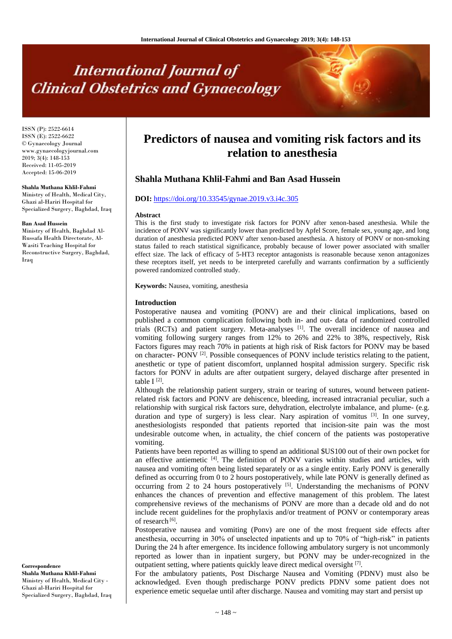# **International Journal of Clinical Obstetrics and Gynaecology**

ISSN (P): 2522-6614 ISSN (E): 2522-6622 © Gynaecology Journal www.gynaecologyjournal.com 2019; 3(4): 148-153 Received: 11-05-2019 Accepted: 15-06-2019

**Shahla Muthana Khlil-Fahmi** Ministry of Health, Medical City,

Ghazi al-Hariri Hospital for Specialized Surgery, Baghdad, Iraq

#### **Ban Asad Hussein**

Ministry of Health, Baghdad Al-Russafa Health Directorate, Al-Wasiti Teaching Hospital for Reconstructive Surgery, Baghdad, Iraq

# **Correspondence Shahla Muthana Khlil-Fahmi** Ministry of Health, Medical City -

Ghazi al-Hariri Hospital for Specialized Surgery, Baghdad, Iraq

# **Predictors of nausea and vomiting risk factors and its relation to anesthesia**

# **Shahla Muthana Khlil-Fahmi and Ban Asad Hussein**

### **DOI:** <https://doi.org/10.33545/gynae.2019.v3.i4c.305>

#### **Abstract**

This is the first study to investigate risk factors for PONV after xenon-based anesthesia. While the incidence of PONV was significantly lower than predicted by Apfel Score, female sex, young age, and long duration of anesthesia predicted PONV after xenon-based anesthesia. A history of PONV or non-smoking status failed to reach statistical significance, probably because of lower power associated with smaller effect size. The lack of efficacy of 5-HT3 receptor antagonists is reasonable because xenon antagonizes these receptors itself, yet needs to be interpreted carefully and warrants confirmation by a sufficiently powered randomized controlled study.

**Keywords:** Nausea, vomiting, anesthesia

#### **Introduction**

Postoperative nausea and vomiting (PONV) are and their clinical implications, based on published a common complication following both in- and out- data of randomized controlled trials (RCTs) and patient surgery. Meta-analyses  $^{[1]}$ . The overall incidence of nausea and vomiting following surgery ranges from 12% to 26% and 22% to 38%, respectively, Risk Factors figures may reach 70% in patients at high risk of Risk factors for PONV may be based on character- PONV<sup>[2]</sup>. Possible consequences of PONV include teristics relating to the patient, anesthetic or type of patient discomfort, unplanned hospital admission surgery. Specific risk factors for PONV in adults are after outpatient surgery, delayed discharge after presented in table I $^{[2]}$ .

Although the relationship patient surgery, strain or tearing of sutures, wound between patientrelated risk factors and PONV are dehiscence, bleeding, increased intracranial peculiar, such a relationship with surgical risk factors sure, dehydration, electrolyte imbalance, and plume- (e.g. duration and type of surgery) is less clear. Nary aspiration of vomitus <sup>[3]</sup>. In one survey, anesthesiologists responded that patients reported that incision-site pain was the most undesirable outcome when, in actuality, the chief concern of the patients was postoperative vomiting.

Patients have been reported as willing to spend an additional \$US100 out of their own pocket for an effective antiemetic  $[4]$ . The definition of PONV varies within studies and articles, with nausea and vomiting often being listed separately or as a single entity. Early PONV is generally defined as occurring from 0 to 2 hours postoperatively, while late PONV is generally defined as occurring from 2 to 24 hours postoperatively  $[5]$ . Understanding the mechanisms of PONV enhances the chances of prevention and effective management of this problem. The latest comprehensive reviews of the mechanisms of PONV are more than a decade old and do not include recent guidelines for the prophylaxis and/or treatment of PONV or contemporary areas of research<sup>[6]</sup>.

Postoperative nausea and vomiting (Ponv) are one of the most frequent side effects after anesthesia, occurring in 30% of unselected inpatients and up to 70% of "high-risk" in patients During the 24 h after emergence. Its incidence following ambulatory surgery is not uncommonly reported as lower than in inpatient surgery, but PONV may be under-recognized in the outpatient setting, where patients quickly leave direct medical oversight [7].

For the ambulatory patients, Post Discharge Nausea and Vomiting (PDNV) must also be acknowledged. Even though predischarge PONV predicts PDNV some patient does not experience emetic sequelae until after discharge. Nausea and vomiting may start and persist up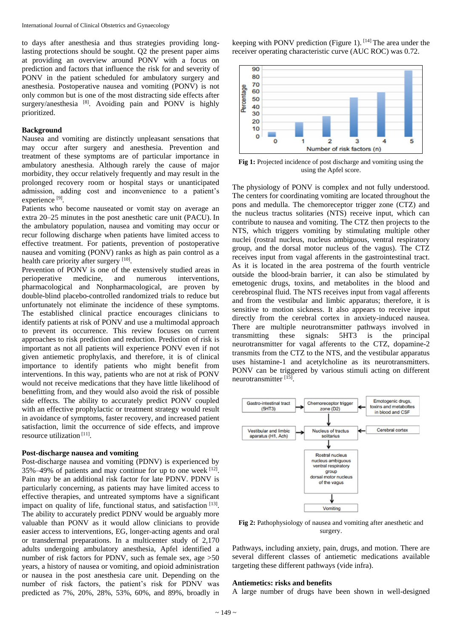to days after anesthesia and thus strategies providing longlasting protections should be sought. Q2 the present paper aims at providing an overview around PONV with a focus on prediction and factors that influence the risk for and severity of PONV in the patient scheduled for ambulatory surgery and anesthesia. Postoperative nausea and vomiting (PONV) is not only common but is one of the most distracting side effects after surgery/anesthesia  $[8]$ . Avoiding pain and PONV is highly prioritized.

#### **Background**

Nausea and vomiting are distinctly unpleasant sensations that may occur after surgery and anesthesia. Prevention and treatment of these symptoms are of particular importance in ambulatory anesthesia. Although rarely the cause of major morbidity, they occur relatively frequently and may result in the prolonged recovery room or hospital stays or unanticipated admission, adding cost and inconvenience to a patient's experience<sup>[9]</sup>.

Patients who become nauseated or vomit stay on average an extra 20–25 minutes in the post anesthetic care unit (PACU). In the ambulatory population, nausea and vomiting may occur or recur following discharge when patients have limited access to effective treatment. For patients, prevention of postoperative nausea and vomiting (PONV) ranks as high as pain control as a health care priority after surgery [10].

Prevention of PONV is one of the extensively studied areas in perioperative medicine, and numerous interventions, pharmacological and Nonpharmacological, are proven by double-blind placebo-controlled randomized trials to reduce but unfortunately not eliminate the incidence of these symptoms. The established clinical practice encourages clinicians to identify patients at risk of PONV and use a multimodal approach to prevent its occurrence. This review focuses on current approaches to risk prediction and reduction. Prediction of risk is important as not all patients will experience PONV even if not given antiemetic prophylaxis, and therefore, it is of clinical importance to identify patients who might benefit from interventions. In this way, patients who are not at risk of PONV would not receive medications that they have little likelihood of benefitting from, and they would also avoid the risk of possible side effects. The ability to accurately predict PONV coupled with an effective prophylactic or treatment strategy would result in avoidance of symptoms, faster recovery, and increased patient satisfaction, limit the occurrence of side effects, and improve resource utilization<sup>[11]</sup>.

#### **Post-discharge nausea and vomiting**

Post-discharge nausea and vomiting (PDNV) is experienced by  $35\% - 49\%$  of patients and may continue for up to one week  $[12]$ . Pain may be an additional risk factor for late PDNV. PDNV is particularly concerning, as patients may have limited access to effective therapies, and untreated symptoms have a significant impact on quality of life, functional status, and satisfaction [13]. The ability to accurately predict PDNV would be arguably more valuable than PONV as it would allow clinicians to provide easier access to interventions, EG, longer-acting agents and oral or transdermal preparations. In a multicenter study of 2,170 adults undergoing ambulatory anesthesia, Apfel identified a number of risk factors for PDNV, such as female sex, age  $>50$ years, a history of nausea or vomiting, and opioid administration or nausea in the post anesthesia care unit. Depending on the number of risk factors, the patient's risk for PDNV was predicted as 7%, 20%, 28%, 53%, 60%, and 89%, broadly in

keeping with PONV prediction (Figure 1).  $[14]$  The area under the receiver operating characteristic curve (AUC ROC) was 0.72.



**Fig 1:** Projected incidence of post discharge and vomiting using the using the Apfel score.

The physiology of PONV is complex and not fully understood. The centers for coordinating vomiting are located throughout the pons and medulla. The chemoreceptor trigger zone (CTZ) and the nucleus tractus solitaries (NTS) receive input, which can contribute to nausea and vomiting. The CTZ then projects to the NTS, which triggers vomiting by stimulating multiple other nuclei (rostral nucleus, nucleus ambiguous, ventral respiratory group, and the dorsal motor nucleus of the vagus). The CTZ receives input from vagal afferents in the gastrointestinal tract. As it is located in the area postrema of the fourth ventricle outside the blood-brain barrier, it can also be stimulated by emetogenic drugs, toxins, and metabolites in the blood and cerebrospinal fluid. The NTS receives input from vagal afferents and from the vestibular and limbic apparatus; therefore, it is sensitive to motion sickness. It also appears to receive input directly from the cerebral cortex in anxiety-induced nausea. There are multiple neurotransmitter pathways involved in transmitting these signals: 5HT3 is the principal neurotransmitter for vagal afferents to the CTZ, dopamine-2 transmits from the CTZ to the NTS, and the vestibular apparatus uses histamine-1 and acetylcholine as its neurotransmitters. PONV can be triggered by various stimuli acting on different neurotransmitter [15].



Fig 2: Pathophysiology of nausea and vomiting after anesthetic and surgery.

Pathways, including anxiety, pain, drugs, and motion. There are several different classes of antiemetic medications available targeting these different pathways (vide infra).

#### **Antiemetics: risks and benefits**

A large number of drugs have been shown in well-designed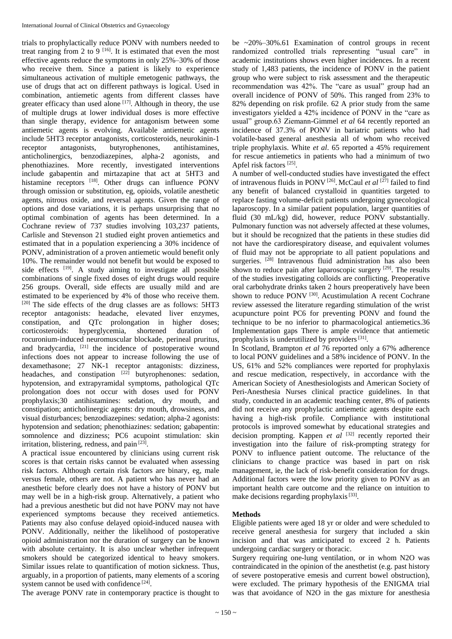trials to prophylactically reduce PONV with numbers needed to treat ranging from 2 to 9  $[16]$ . It is estimated that even the most effective agents reduce the symptoms in only 25%–30% of those who receive them. Since a patient is likely to experience simultaneous activation of multiple emetogenic pathways, the use of drugs that act on different pathways is logical. Used in combination, antiemetic agents from different classes have greater efficacy than used alone  $[17]$ . Although in theory, the use of multiple drugs at lower individual doses is more effective than single therapy, evidence for antagonism between some antiemetic agents is evolving. Available antiemetic agents include 5HT3 receptor antagonists, corticosteroids, neurokinin-1 receptor antagonists, butyrophenones, antihistamines, anticholinergics, benzodiazepines, alpha-2 agonists, and phenothiazines. More recently, investigated interventions include gabapentin and mirtazapine that act at 5HT3 and histamine receptors <sup>[18]</sup>. Other drugs can influence PONV through omission or substitution, eg, opioids, volatile anesthetic agents, nitrous oxide, and reversal agents. Given the range of options and dose variations, it is perhaps unsurprising that no optimal combination of agents has been determined. In a Cochrane review of 737 studies involving 103,237 patients, Carlisle and Stevenson 21 studied eight proven antiemetics and estimated that in a population experiencing a 30% incidence of PONV, administration of a proven antiemetic would benefit only 10%. The remainder would not benefit but would be exposed to side effects <sup>[19]</sup>. A study aiming to investigate all possible combinations of single fixed doses of eight drugs would require 256 groups. Overall, side effects are usually mild and are estimated to be experienced by 4% of those who receive them. [20] The side effects of the drug classes are as follows: 5HT3 receptor antagonists: headache, elevated liver enzymes, constipation, and QTc prolongation in higher doses; corticosteroids: hyperglycemia, shortened duration of rocuronium-induced neuromuscular blockade, perineal pruritus, and bradycardia, <sup>[21]</sup> the incidence of postoperative wound infections does not appear to increase following the use of dexamethasone; 27 NK-1 receptor antagonists: dizziness, headaches, and constipation  $[22]$  butyrophenones: sedation, hypotension, and extrapyramidal symptoms, pathological QTc prolongation does not occur with doses used for PONV prophylaxis;30 antihistamines: sedation, dry mouth, and constipation; anticholinergic agents: dry mouth, drowsiness, and visual disturbances; benzodiazepines: sedation; alpha-2 agonists: hypotension and sedation; phenothiazines: sedation; gabapentin: somnolence and dizziness; PC6 acupoint stimulation: skin irritation, blistering, redness, and pain [23].

A practical issue encountered by clinicians using current risk scores is that certain risks cannot be evaluated when assessing risk factors. Although certain risk factors are binary, eg, male versus female, others are not. A patient who has never had an anesthetic before clearly does not have a history of PONV but may well be in a high-risk group. Alternatively, a patient who had a previous anesthetic but did not have PONV may not have experienced symptoms because they received antiemetics. Patients may also confuse delayed opioid-induced nausea with PONV. Additionally, neither the likelihood of postoperative opioid administration nor the duration of surgery can be known with absolute certainty. It is also unclear whether infrequent smokers should be categorized identical to heavy smokers. Similar issues relate to quantification of motion sickness. Thus, arguably, in a proportion of patients, many elements of a scoring system cannot be used with confidence<sup>[24]</sup>.

The average PONV rate in contemporary practice is thought to

be ~20%–30%.61 Examination of control groups in recent randomized controlled trials representing "usual care" in academic institutions shows even higher incidences. In a recent study of 1,483 patients, the incidence of PONV in the patient group who were subject to risk assessment and the therapeutic recommendation was 42%. The "care as usual" group had an overall incidence of PONV of 50%. This ranged from 23% to 82% depending on risk profile. 62 A prior study from the same investigators yielded a 42% incidence of PONV in the "care as usual" group.63 Ziemann-Gimmel *et al* 64 recently reported an incidence of 37.3% of PONV in bariatric patients who had volatile-based general anesthesia all of whom who received triple prophylaxis. White *et al*. 65 reported a 45% requirement for rescue antiemetics in patients who had a minimum of two Apfel risk factors<sup>[25]</sup>.

A number of well-conducted studies have investigated the effect of intravenous fluids in PONV<sup>[26]</sup>. McCaul *et al* <sup>[27]</sup> failed to find any benefit of balanced crystalloid in quantities targeted to replace fasting volume-deficit patients undergoing gynecological laparoscopy. In a similar patient population, larger quantities of fluid (30 mL/kg) did, however, reduce PONV substantially. Pulmonary function was not adversely affected at these volumes, but it should be recognized that the patients in these studies did not have the cardiorespiratory disease, and equivalent volumes of fluid may not be appropriate to all patient populations and surgeries. <sup>[28]</sup> Intravenous fluid administration has also been shown to reduce pain after laparoscopic surgery <sup>[29]</sup>. The results of the studies investigating colloids are conflicting. Preoperative oral carbohydrate drinks taken 2 hours preoperatively have been shown to reduce PONV<sup>[30]</sup>. Acustimulation A recent Cochrane review assessed the literature regarding stimulation of the wrist acupuncture point PC6 for preventing PONV and found the technique to be no inferior to pharmacological antiemetics.36 Implementation gaps There is ample evidence that antiemetic prophylaxis is underutilized by providers<sup>[31]</sup>.

In Scotland, Brampton *et al* 76 reported only a 67% adherence to local PONV guidelines and a 58% incidence of PONV. In the US, 61% and 52% compliances were reported for prophylaxis and rescue medication, respectively, in accordance with the American Society of Anesthesiologists and American Society of Peri-Anesthesia Nurses clinical practice guidelines. In that study, conducted in an academic teaching center, 8% of patients did not receive any prophylactic antiemetic agents despite each having a high-risk profile. Compliance with institutional protocols is improved somewhat by educational strategies and decision prompting. Kappen *et al* [32] recently reported their investigation into the failure of risk-prompting strategy for PONV to influence patient outcome. The reluctance of the clinicians to change practice was based in part on risk management, ie, the lack of risk-benefit consideration for drugs. Additional factors were the low priority given to PONV as an important health care outcome and the reliance on intuition to make decisions regarding prophylaxis<sup>[33]</sup>.

## **Methods**

Eligible patients were aged 18 yr or older and were scheduled to receive general anesthesia for surgery that included a skin incision and that was anticipated to exceed 2 h. Patients undergoing cardiac surgery or thoracic.

Surgery requiring one-lung ventilation, or in whom N2O was contraindicated in the opinion of the anesthetist (e.g. past history of severe postoperative emesis and current bowel obstruction), were excluded. The primary hypothesis of the ENIGMA trial was that avoidance of N2O in the gas mixture for anesthesia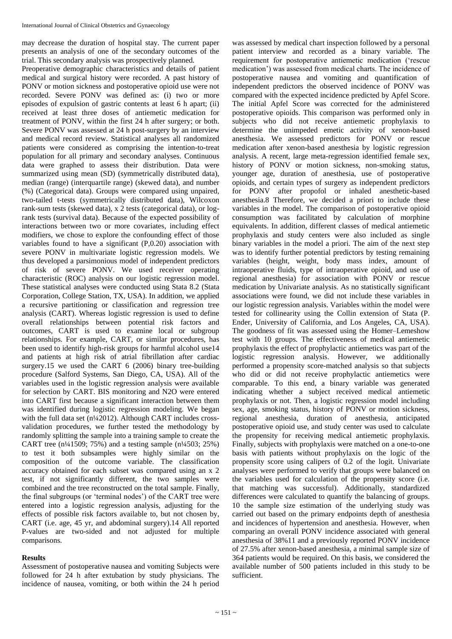may decrease the duration of hospital stay. The current paper presents an analysis of one of the secondary outcomes of the trial. This secondary analysis was prospectively planned.

Preoperative demographic characteristics and details of patient medical and surgical history were recorded. A past history of PONV or motion sickness and postoperative opioid use were not recorded. Severe PONV was defined as: (i) two or more episodes of expulsion of gastric contents at least 6 h apart; (ii) received at least three doses of antiemetic medication for treatment of PONV, within the first 24 h after surgery; or both. Severe PONV was assessed at 24 h post-surgery by an interview and medical record review. Statistical analyses all randomized patients were considered as comprising the intention-to-treat population for all primary and secondary analyses. Continuous data were graphed to assess their distribution. Data were summarized using mean (SD) (symmetrically distributed data), median (range) (interquartile range) (skewed data), and number (%) (Categorical data). Groups were compared using unpaired, two-tailed t-tests (symmetrically distributed data), Wilcoxon rank-sum tests (skewed data), x 2 tests (categorical data), or logrank tests (survival data). Because of the expected possibility of interactions between two or more covariates, including effect modifiers, we chose to explore the confounding effect of those variables found to have a significant (P,0.20) association with severe PONV in multivariate logistic regression models. We thus developed a parsimonious model of independent predictors of risk of severe PONV. We used receiver operating characteristic (ROC) analysis on our logistic regression model. These statistical analyses were conducted using Stata 8.2 (Stata Corporation, College Station, TX, USA). In addition, we applied a recursive partitioning or classification and regression tree analysis (CART). Whereas logistic regression is used to define overall relationships between potential risk factors and outcomes, CART is used to examine local or subgroup relationships. For example, CART, or similar procedures, has been used to identify high-risk groups for harmful alcohol use14 and patients at high risk of atrial fibrillation after cardiac surgery.15 we used the CART 6 (2006) binary tree-building procedure (Salford Systems, San Diego, CA, USA). All of the variables used in the logistic regression analysis were available for selection by CART. BIS monitoring and N2O were entered into CART first because a significant interaction between them was identified during logistic regression modeling. We began with the full data set (n¼2012). Although CART includes crossvalidation procedures, we further tested the methodology by randomly splitting the sample into a training sample to create the CART tree (n<sup>1/41509; 75%)</sup> and a testing sample (n<sup>1/4503; 25%)</sup> to test it both subsamples were highly similar on the composition of the outcome variable. The classification accuracy obtained for each subset was compared using an x 2 test, if not significantly different, the two samples were combined and the tree reconstructed on the total sample. Finally, the final subgroups (or 'terminal nodes') of the CART tree were entered into a logistic regression analysis, adjusting for the effects of possible risk factors available to, but not chosen by, CART (i.e. age, 45 yr, and abdominal surgery).14 All reported P-values are two-sided and not adjusted for multiple comparisons.

#### **Results**

Assessment of postoperative nausea and vomiting Subjects were followed for 24 h after extubation by study physicians. The incidence of nausea, vomiting, or both within the 24 h period was assessed by medical chart inspection followed by a personal patient interview and recorded as a binary variable. The requirement for postoperative antiemetic medication ('rescue medication') was assessed from medical charts. The incidence of postoperative nausea and vomiting and quantification of independent predictors the observed incidence of PONV was compared with the expected incidence predicted by Apfel Score. The initial Apfel Score was corrected for the administered postoperative opioids. This comparison was performed only in subjects who did not receive antiemetic prophylaxis to determine the unimpeded emetic activity of xenon-based anesthesia. We assessed predictors for PONV or rescue medication after xenon-based anesthesia by logistic regression analysis. A recent, large meta-regression identified female sex, history of PONV or motion sickness, non-smoking status, younger age, duration of anesthesia, use of postoperative opioids, and certain types of surgery as independent predictors for PONV after propofol or inhaled anesthetic-based anesthesia.8 Therefore, we decided a priori to include these variables in the model. The comparison of postoperative opioid consumption was facilitated by calculation of morphine equivalents. In addition, different classes of medical antiemetic prophylaxis and study centers were also included as single binary variables in the model a priori. The aim of the next step was to identify further potential predictors by testing remaining variables (height, weight, body mass index, amount of intraoperative fluids, type of intraoperative opioid, and use of regional anesthesia) for association with PONV or rescue medication by Univariate analysis. As no statistically significant associations were found, we did not include these variables in our logistic regression analysis. Variables within the model were tested for collinearity using the Collin extension of Stata (P. Ender, University of California, and Los Angeles, CA, USA). The goodness of fit was assessed using the Homer–Lemeshow test with 10 groups. The effectiveness of medical antiemetic prophylaxis the effect of prophylactic antiemetics was part of the logistic regression analysis. However, we additionally performed a propensity score-matched analysis so that subjects who did or did not receive prophylactic antiemetics were comparable. To this end, a binary variable was generated indicating whether a subject received medical antiemetic prophylaxis or not. Then, a logistic regression model including sex, age, smoking status, history of PONV or motion sickness, regional anesthesia, duration of anesthesia, anticipated postoperative opioid use, and study center was used to calculate the propensity for receiving medical antiemetic prophylaxis. Finally, subjects with prophylaxis were matched on a one-to-one basis with patients without prophylaxis on the logic of the propensity score using calipers of 0.2 of the logit. Univariate analyses were performed to verify that groups were balanced on the variables used for calculation of the propensity score (i.e. that matching was successful). Additionally, standardized differences were calculated to quantify the balancing of groups. 10 the sample size estimation of the underlying study was carried out based on the primary endpoints depth of anesthesia and incidences of hypertension and anesthesia. However, when comparing an overall PONV incidence associated with general anesthesia of 38%11 and a previously reported PONV incidence of 27.5% after xenon-based anesthesia, a minimal sample size of 364 patients would be required. On this basis, we considered the available number of 500 patients included in this study to be sufficient.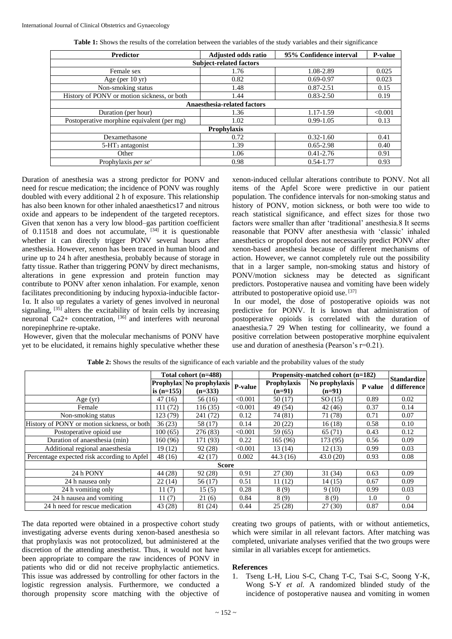| <b>Predictor</b>                            | <b>Adjusted odds ratio</b> | 95% Confidence interval |         |  |  |  |  |  |  |
|---------------------------------------------|----------------------------|-------------------------|---------|--|--|--|--|--|--|
| <b>Subject-related factors</b>              |                            |                         |         |  |  |  |  |  |  |
| Female sex                                  | 1.76                       | 1.08-2.89               | 0.025   |  |  |  |  |  |  |
| Age (per $10 \text{ yr}$ )                  | 0.82                       | $0.69 - 0.97$           | 0.023   |  |  |  |  |  |  |
| Non-smoking status                          | 1.48                       | $0.87 - 2.51$           | 0.15    |  |  |  |  |  |  |
| History of PONV or motion sickness, or both | 1.44                       | $0.83 - 2.50$           | 0.19    |  |  |  |  |  |  |
| <b>Anaesthesia-related factors</b>          |                            |                         |         |  |  |  |  |  |  |
| Duration (per hour)                         | 1.36                       | 1.17-1.59               | < 0.001 |  |  |  |  |  |  |
| Postoperative morphine equivalent (per mg)  | 1.02                       | $0.99 - 1.05$           | 0.13    |  |  |  |  |  |  |
| <b>Prophylaxis</b>                          |                            |                         |         |  |  |  |  |  |  |
| Dexamethasone                               | 0.72                       | $0.32 - 1.60$           | 0.41    |  |  |  |  |  |  |
| $5-HT3$ antagonist                          | 1.39                       | $0.65 - 2.98$           | 0.40    |  |  |  |  |  |  |
| Other                                       | 1.06                       | $0.41 - 2.76$           | 0.91    |  |  |  |  |  |  |
| Prophylaxis per se'                         | 0.98                       | $0.54 - 1.77$           | 0.93    |  |  |  |  |  |  |

**Table 1:** Shows the results of the correlation between the variables of the study variables and their significance

Duration of anesthesia was a strong predictor for PONV and need for rescue medication; the incidence of PONV was roughly doubled with every additional 2 h of exposure. This relationship has also been known for other inhaled anaesthetics17 and nitrous oxide and appears to be independent of the targeted receptors. Given that xenon has a very low blood–gas partition coefficient of 0.11518 and does not accumulate,  $[34]$  it is questionable whether it can directly trigger PONV several hours after anesthesia. However, xenon has been traced in human blood and urine up to 24 h after anesthesia, probably because of storage in fatty tissue. Rather than triggering PONV by direct mechanisms, alterations in gene expression and protein function may contribute to PONV after xenon inhalation. For example, xenon facilitates preconditioning by inducing hypoxia-inducible factor-1α. It also up regulates a variety of genes involved in neuronal signaling,  $[35]$  alters the excitability of brain cells by increasing neuronal Ca2+ concentration,  $^{[36]}$  and interferes with neuronal norepinephrine re-uptake.

However, given that the molecular mechanisms of PONV have yet to be elucidated, it remains highly speculative whether these xenon-induced cellular alterations contribute to PONV. Not all items of the Apfel Score were predictive in our patient population. The confidence intervals for non-smoking status and history of PONV, motion sickness, or both were too wide to reach statistical significance, and effect sizes for those two factors were smaller than after 'traditional' anesthesia.8 It seems reasonable that PONV after anesthesia with 'classic' inhaled anesthetics or propofol does not necessarily predict PONV after xenon-based anesthesia because of different mechanisms of action. However, we cannot completely rule out the possibility that in a larger sample, non-smoking status and history of PONV/motion sickness may be detected as significant predictors. Postoperative nausea and vomiting have been widely attributed to postoperative opioid use. [37]

In our model, the dose of postoperative opioids was not predictive for PONV. It is known that administration of postoperative opioids is correlated with the duration of anaesthesia.7 29 When testing for collinearity, we found a positive correlation between postoperative morphine equivalent use and duration of anesthesia (Pearson's  $r=0.21$ ).

|                                             | Total cohort (n=488) |                          |         | Propensity-matched cohort (n=182) |                |         | <b>Standardize</b> |  |  |
|---------------------------------------------|----------------------|--------------------------|---------|-----------------------------------|----------------|---------|--------------------|--|--|
|                                             |                      | Prophylax No prophylaxis | P-value | Prophylaxis                       | No prophylaxis | P value | d difference       |  |  |
|                                             | is $(n=155)$         | $(n=333)$                |         | $(n=91)$                          | $(n=91)$       |         |                    |  |  |
| Age $(yr)$                                  | 47(16)               | 56(16)                   | < 0.001 | 50(17)                            | SO(15)         | 0.89    | 0.02               |  |  |
| Female                                      | 111 (72)             | 116(35)                  | < 0.001 | 49 (54)                           | 42(46)         | 0.37    | 0.14               |  |  |
| Non-smoking status                          | 123 (79)             | 241 (72)                 | 0.12    | 74 (81)                           | 71 (78)        | 0.71    | 0.07               |  |  |
| History of PONY or motion sickness, or both | 36(23)               | 58 (17)                  | 0.14    | 20(22)                            | 16(18)         | 0.58    | 0.10               |  |  |
| Postoperative opioid use                    | 100 (65)             | 276 (83)                 | < 0.001 | 59 (65)                           | 65 (71)        | 0.43    | 0.12               |  |  |
| Duration of anaesthesia (min)               | 160 (96)             | 171 (93)                 | 0.22    | 165 (96)                          | 173 (95)       | 0.56    | 0.09               |  |  |
| Additional regional anaesthesia             | 19(12)               | 92(28)                   | < 0.001 | 13(14)                            | 12(13)         | 0.99    | 0.03               |  |  |
| Percentage expected risk according to Apfel | 48(16)               | 42(17)                   | 0.002   | 44.3(16)                          | 43.0(20)       | 0.93    | 0.08               |  |  |
| <b>Score</b>                                |                      |                          |         |                                   |                |         |                    |  |  |
| 24 h PONY                                   | 44 (28)              | 92(28)                   | 0.91    | 27(30)                            | 31(34)         | 0.63    | 0.09               |  |  |
| 24 h nausea only                            | 22(14)               | 56 (17)                  | 0.51    | 11(12)                            | 14(15)         | 0.67    | 0.09               |  |  |
| 24 h vomiting only                          | 11(7)                | 15(5)                    | 0.28    | 8(9)                              | 9(10)          | 0.99    | 0.03               |  |  |
| 24 h nausea and vomiting                    | 11(7)                | 21(6)                    | 0.84    | 8(9)                              | 8(9)           | 1.0     | $\Omega$           |  |  |
| 24 h need for rescue medication             | 43 (28)              | 81 (24)                  | 0.44    | 25(28)                            | 27(30)         | 0.87    | 0.04               |  |  |

**Table 2:** Shows the results of the significance of each variable and the probability values of the study

The data reported were obtained in a prospective cohort study investigating adverse events during xenon-based anesthesia so that prophylaxis was not protocolized, but administered at the discretion of the attending anesthetist. Thus, it would not have been appropriate to compare the raw incidences of PONV in patients who did or did not receive prophylactic antiemetics. This issue was addressed by controlling for other factors in the logistic regression analysis. Furthermore, we conducted a thorough propensity score matching with the objective of creating two groups of patients, with or without antiemetics, which were similar in all relevant factors. After matching was completed, univariate analyses verified that the two groups were similar in all variables except for antiemetics.

#### **References**

1. Tseng L-H, Liou S-C, Chang T-C, Tsai S-C, Soong Y-K, Wong S-Y *et al.* A randomized blinded study of the incidence of postoperative nausea and vomiting in women